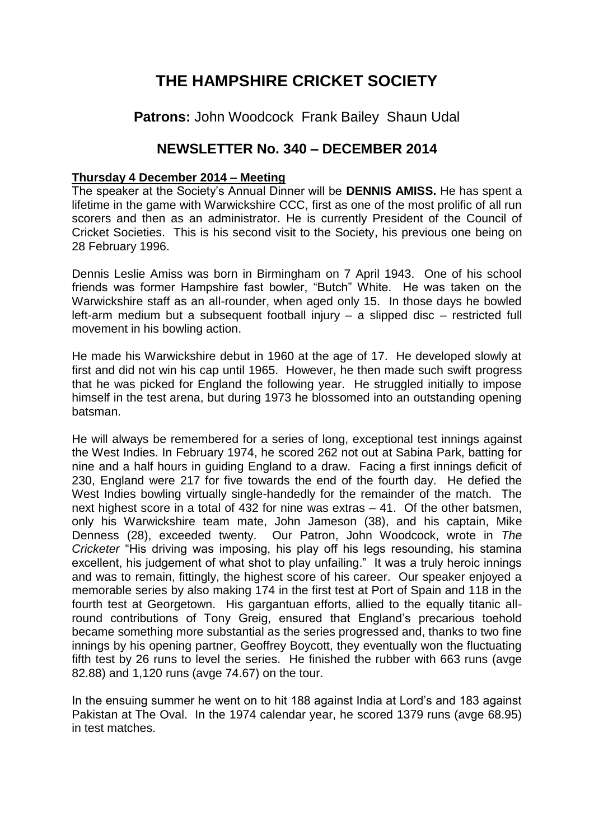## **THE HAMPSHIRE CRICKET SOCIETY**

**Patrons:** John Woodcock Frank Bailey Shaun Udal

## **NEWSLETTER No. 340 – DECEMBER 2014**

## **Thursday 4 December 2014 – Meeting**

The speaker at the Society's Annual Dinner will be **DENNIS AMISS.** He has spent a lifetime in the game with Warwickshire CCC, first as one of the most prolific of all run scorers and then as an administrator. He is currently President of the Council of Cricket Societies. This is his second visit to the Society, his previous one being on 28 February 1996.

Dennis Leslie Amiss was born in Birmingham on 7 April 1943. One of his school friends was former Hampshire fast bowler, "Butch" White. He was taken on the Warwickshire staff as an all-rounder, when aged only 15. In those days he bowled left-arm medium but a subsequent football injury – a slipped disc – restricted full movement in his bowling action.

He made his Warwickshire debut in 1960 at the age of 17. He developed slowly at first and did not win his cap until 1965. However, he then made such swift progress that he was picked for England the following year. He struggled initially to impose himself in the test arena, but during 1973 he blossomed into an outstanding opening batsman.

He will always be remembered for a series of long, exceptional test innings against the West Indies. In February 1974, he scored 262 not out at Sabina Park, batting for nine and a half hours in guiding England to a draw. Facing a first innings deficit of 230, England were 217 for five towards the end of the fourth day. He defied the West Indies bowling virtually single-handedly for the remainder of the match. The next highest score in a total of 432 for nine was extras – 41. Of the other batsmen, only his Warwickshire team mate, John Jameson (38), and his captain, Mike Denness (28), exceeded twenty. Our Patron, John Woodcock, wrote in *The Cricketer* "His driving was imposing, his play off his legs resounding, his stamina excellent, his judgement of what shot to play unfailing." It was a truly heroic innings and was to remain, fittingly, the highest score of his career. Our speaker enjoyed a memorable series by also making 174 in the first test at Port of Spain and 118 in the fourth test at Georgetown. His gargantuan efforts, allied to the equally titanic allround contributions of Tony Greig, ensured that England's precarious toehold became something more substantial as the series progressed and, thanks to two fine innings by his opening partner, Geoffrey Boycott, they eventually won the fluctuating fifth test by 26 runs to level the series. He finished the rubber with 663 runs (avge 82.88) and 1,120 runs (avge 74.67) on the tour.

In the ensuing summer he went on to hit 188 against India at Lord's and 183 against Pakistan at The Oval. In the 1974 calendar year, he scored 1379 runs (avge 68.95) in test matches.